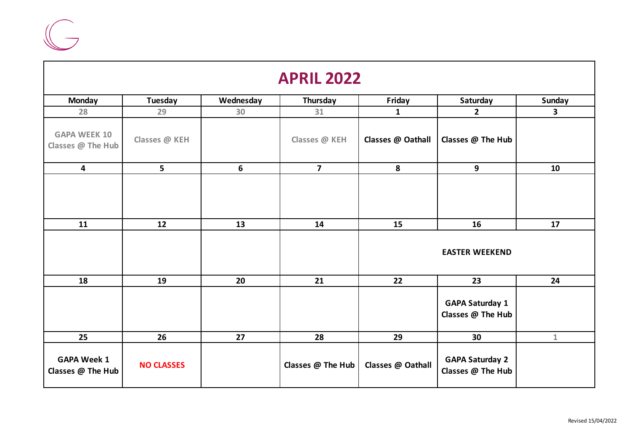

| <b>APRIL 2022</b>                        |                   |           |                         |                   |                                             |              |  |
|------------------------------------------|-------------------|-----------|-------------------------|-------------------|---------------------------------------------|--------------|--|
| <b>Monday</b>                            | <b>Tuesday</b>    | Wednesday | Thursday                | Friday            | Saturday                                    | Sunday       |  |
| 28                                       | 29                | 30        | 31                      | $\mathbf{1}$      | $\overline{2}$                              | $\mathbf{3}$ |  |
| <b>GAPA WEEK 10</b><br>Classes @ The Hub | Classes @ KEH     |           | Classes @ KEH           | Classes @ Oathall | Classes @ The Hub                           |              |  |
| $\overline{\mathbf{4}}$                  | 5                 | 6         | $\overline{\mathbf{z}}$ | 8                 | 9                                           | 10           |  |
| 11                                       | 12                | 13        | 14                      | 15                | 16<br><b>EASTER WEEKEND</b>                 | 17           |  |
| 18                                       | 19                | 20        | 21                      | 22                | 23                                          | 24           |  |
|                                          |                   |           |                         |                   | <b>GAPA Saturday 1</b><br>Classes @ The Hub |              |  |
| 25                                       | 26                | 27        | 28                      | 29                | 30                                          | $\mathbf{1}$ |  |
| <b>GAPA Week 1</b><br>Classes @ The Hub  | <b>NO CLASSES</b> |           | Classes @ The Hub       | Classes @ Oathall | <b>GAPA Saturday 2</b><br>Classes @ The Hub |              |  |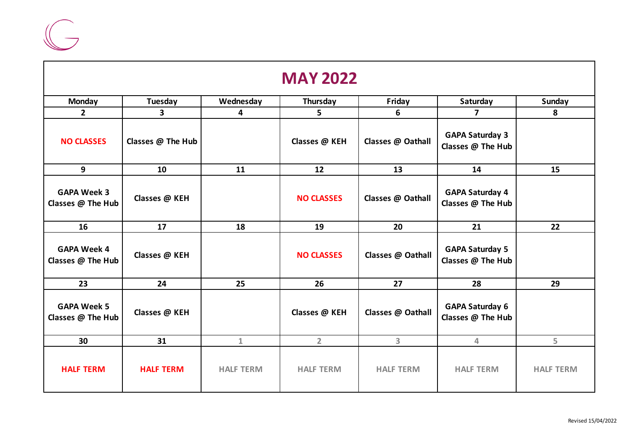

|                                         |                   |                  | <b>MAY 2022</b>   |                   |                                             |                  |
|-----------------------------------------|-------------------|------------------|-------------------|-------------------|---------------------------------------------|------------------|
| <b>Monday</b>                           | Tuesday           | Wednesday        | Thursday          | Friday            | Saturday                                    | Sunday           |
| $\overline{2}$                          | 3 <sup>1</sup>    | 4                | 5                 | 6                 | $\overline{7}$                              | 8                |
| <b>NO CLASSES</b>                       | Classes @ The Hub |                  | Classes @ KEH     | Classes @ Oathall | <b>GAPA Saturday 3</b><br>Classes @ The Hub |                  |
| 9                                       | 10                | 11               | 12                | 13                | 14                                          | 15               |
| <b>GAPA Week 3</b><br>Classes @ The Hub | Classes @ KEH     |                  | <b>NO CLASSES</b> | Classes @ Oathall | <b>GAPA Saturday 4</b><br>Classes @ The Hub |                  |
| 16                                      | 17                | 18               | 19                | 20                | 21                                          | 22               |
| <b>GAPA Week 4</b><br>Classes @ The Hub | Classes @ KEH     |                  | <b>NO CLASSES</b> | Classes @ Oathall | <b>GAPA Saturday 5</b><br>Classes @ The Hub |                  |
| 23                                      | 24                | 25               | 26                | 27                | 28                                          | 29               |
| <b>GAPA Week 5</b><br>Classes @ The Hub | Classes @ KEH     |                  | Classes @ KEH     | Classes @ Oathall | <b>GAPA Saturday 6</b><br>Classes @ The Hub |                  |
| 30                                      | 31                | $\mathbf{1}$     | $2^{\circ}$       | 3 <sup>1</sup>    | 4                                           | 5                |
| <b>HALF TERM</b>                        | <b>HALF TERM</b>  | <b>HALF TERM</b> | <b>HALF TERM</b>  | <b>HALF TERM</b>  | <b>HALF TERM</b>                            | <b>HALF TERM</b> |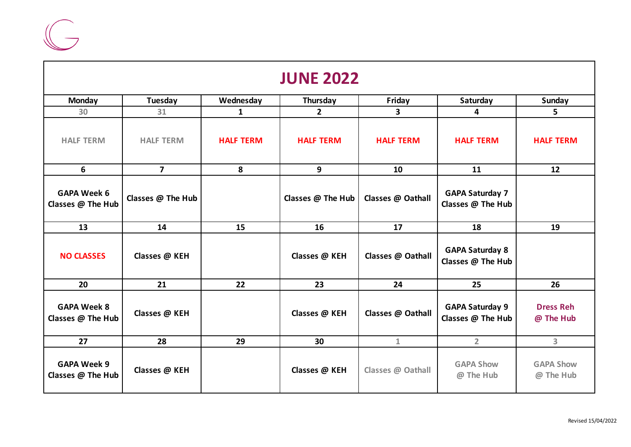

| <b>JUNE 2022</b>                        |                   |                  |                   |                   |                                             |                               |  |
|-----------------------------------------|-------------------|------------------|-------------------|-------------------|---------------------------------------------|-------------------------------|--|
| <b>Monday</b>                           | Tuesday           | Wednesday        | Thursday          | Friday            | Saturday                                    | <b>Sunday</b>                 |  |
| 30 <sup>°</sup>                         | 31                | 1                | $\overline{2}$    | 3                 | 4                                           | 5.                            |  |
| <b>HALF TERM</b>                        | <b>HALF TERM</b>  | <b>HALF TERM</b> | <b>HALF TERM</b>  | <b>HALF TERM</b>  | <b>HALF TERM</b>                            | <b>HALF TERM</b>              |  |
| 6                                       | $\overline{7}$    | 8                | 9                 | 10                | 11                                          | 12                            |  |
| <b>GAPA Week 6</b><br>Classes @ The Hub | Classes @ The Hub |                  | Classes @ The Hub | Classes @ Oathall | <b>GAPA Saturday 7</b><br>Classes @ The Hub |                               |  |
| 13                                      | 14                | 15               | 16                | 17                | 18                                          | 19                            |  |
| <b>NO CLASSES</b>                       | Classes @ KEH     |                  | Classes @ KEH     | Classes @ Oathall | <b>GAPA Saturday 8</b><br>Classes @ The Hub |                               |  |
| 20                                      | 21                | 22               | 23                | 24                | 25                                          | 26                            |  |
| <b>GAPA Week 8</b><br>Classes @ The Hub | Classes @ KEH     |                  | Classes @ KEH     | Classes @ Oathall | <b>GAPA Saturday 9</b><br>Classes @ The Hub | <b>Dress Reh</b><br>@ The Hub |  |
| 27                                      | 28                | 29               | 30                | $\mathbf{1}$      | $\overline{2}$                              | $\overline{\mathbf{3}}$       |  |
| <b>GAPA Week 9</b><br>Classes @ The Hub | Classes @ KEH     |                  | Classes @ KEH     | Classes @ Oathall | <b>GAPA Show</b><br>@ The Hub               | <b>GAPA Show</b><br>@ The Hub |  |